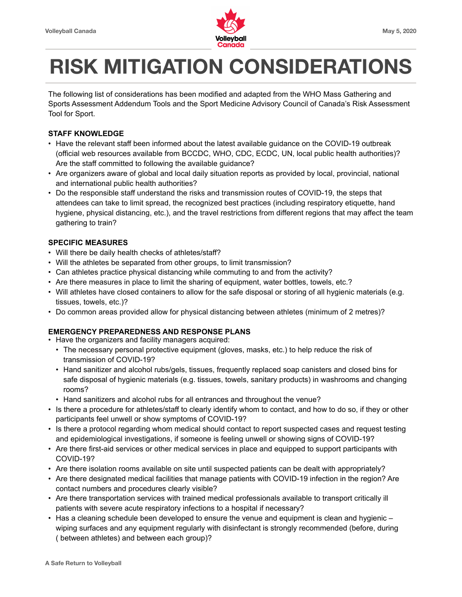

# **RISK MITIGATION CONSIDERATIONS**

The following list of considerations has been modified and adapted from the WHO Mass Gathering and Sports Assessment Addendum Tools and the Sport Medicine Advisory Council of Canada's Risk Assessment Tool for Sport.

## **STAFF KNOWLEDGE**

- Have the relevant staff been informed about the latest available guidance on the COVID-19 outbreak (official web resources available from BCCDC, WHO, CDC, ECDC, UN, local public health authorities)? Are the staff committed to following the available guidance?
- Are organizers aware of global and local daily situation reports as provided by local, provincial, national and international public health authorities?
- Do the responsible staff understand the risks and transmission routes of COVID-19, the steps that attendees can take to limit spread, the recognized best practices (including respiratory etiquette, hand hygiene, physical distancing, etc.), and the travel restrictions from different regions that may affect the team gathering to train?

## **SPECIFIC MEASURES**

- Will there be daily health checks of athletes/staff?
- Will the athletes be separated from other groups, to limit transmission?
- Can athletes practice physical distancing while commuting to and from the activity?
- Are there measures in place to limit the sharing of equipment, water bottles, towels, etc.?
- Will athletes have closed containers to allow for the safe disposal or storing of all hygienic materials (e.g. tissues, towels, etc.)?
- Do common areas provided allow for physical distancing between athletes (minimum of 2 metres)?

# **EMERGENCY PREPAREDNESS AND RESPONSE PLANS**

- Have the organizers and facility managers acquired:
	- The necessary personal protective equipment (gloves, masks, etc.) to help reduce the risk of transmission of COVID-19?
	- Hand sanitizer and alcohol rubs/gels, tissues, frequently replaced soap canisters and closed bins for safe disposal of hygienic materials (e.g. tissues, towels, sanitary products) in washrooms and changing rooms?
	- Hand sanitizers and alcohol rubs for all entrances and throughout the venue?
- Is there a procedure for athletes/staff to clearly identify whom to contact, and how to do so, if they or other participants feel unwell or show symptoms of COVID-19?
- Is there a protocol regarding whom medical should contact to report suspected cases and request testing and epidemiological investigations, if someone is feeling unwell or showing signs of COVID-19?
- Are there first-aid services or other medical services in place and equipped to support participants with COVID-19?
- Are there isolation rooms available on site until suspected patients can be dealt with appropriately?
- Are there designated medical facilities that manage patients with COVID-19 infection in the region? Are contact numbers and procedures clearly visible?
- Are there transportation services with trained medical professionals available to transport critically ill patients with severe acute respiratory infections to a hospital if necessary?
- Has a cleaning schedule been developed to ensure the venue and equipment is clean and hygienic wiping surfaces and any equipment regularly with disinfectant is strongly recommended (before, during ( between athletes) and between each group)?